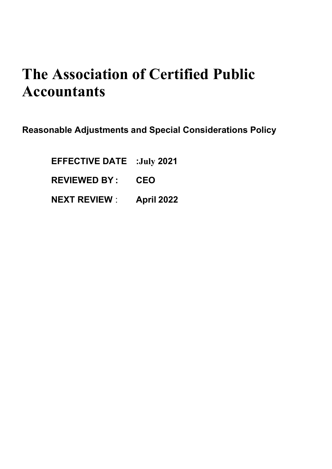# **The Association of Certified Public Accountants**

Reasonable Adjustments and Special Considerations Policy

EFFECTIVE DATE :**July** 2021 REVIEWED BY : CEO NEXT REVIEW : April 2022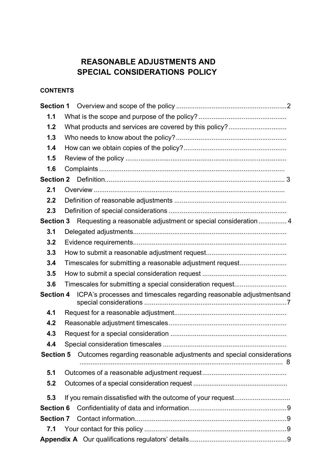## REASONABLE ADJUSTMENTS AND SPECIAL CONSIDERATIONS POLICY

### **CONTENTS**

| 1.1              |                                                                               |  |  |  |
|------------------|-------------------------------------------------------------------------------|--|--|--|
| 1.2              | What products and services are covered by this policy?                        |  |  |  |
| 1.3              |                                                                               |  |  |  |
| 1.4              |                                                                               |  |  |  |
| 1.5              |                                                                               |  |  |  |
| 1.6              |                                                                               |  |  |  |
| <b>Section 2</b> |                                                                               |  |  |  |
| 2.1              |                                                                               |  |  |  |
| 2.2              |                                                                               |  |  |  |
| 2.3              |                                                                               |  |  |  |
| <b>Section 3</b> | Requesting a reasonable adjustment or special consideration  4                |  |  |  |
| 3.1              |                                                                               |  |  |  |
| 3.2              |                                                                               |  |  |  |
| 3.3              |                                                                               |  |  |  |
| 3.4              | Timescales for submitting a reasonable adjustment request                     |  |  |  |
| 3.5              |                                                                               |  |  |  |
| 3.6              | Timescales for submitting a special consideration request                     |  |  |  |
|                  | Section 4 ICPA's processes and timescales regarding reasonable adjustmentsand |  |  |  |
| 4.1              |                                                                               |  |  |  |
| 4.2              |                                                                               |  |  |  |
| 4.3              |                                                                               |  |  |  |
| 4.4              |                                                                               |  |  |  |
| <b>Section 5</b> | Outcomes regarding reasonable adjustments and special considerations          |  |  |  |
| 5.1              |                                                                               |  |  |  |
| 5.2              |                                                                               |  |  |  |
| 5.3              | If you remain dissatisfied with the outcome of your request                   |  |  |  |
| <b>Section 6</b> |                                                                               |  |  |  |
| <b>Section 7</b> |                                                                               |  |  |  |
| 7.1              |                                                                               |  |  |  |
|                  |                                                                               |  |  |  |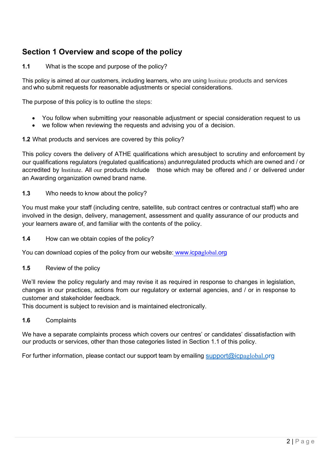# Section 1 Overview and scope of the policy

#### 1.1 What is the scope and purpose of the policy?

This policy is aimed at our customers, including learners, who are using Institute products and services and who submit requests for reasonable adjustments or special considerations.

The purpose of this policy is to outline the steps:

- You follow when submitting your reasonable adjustment or special consideration request to us
- we follow when reviewing the requests and advising you of a decision.

#### 1.2 What products and services are covered by this policy?

This policy covers the delivery of ATHE qualifications which are subject to scrutiny and enforcement by our qualifications regulators (regulated qualifications) andunregulated products which are owned and / or accredited by Institute. All our products include those which may be offered and / or delivered under an Awarding organization owned brand name.

#### 1.3 Who needs to know about the policy?

You must make your staff (including centre, satellite, sub contract centres or contractual staff) who are involved in the design, delivery, management, assessment and quality assurance of our products and your learners aware of, and familiar with the contents of the policy.

1.4 How can we obtain copies of the policy?

You can download copies of the policy from our website: www.icpaglobal.org

1.5 Review of the policy

We'll review the policy regularly and may revise it as required in response to changes in legislation, changes in our practices, actions from our regulatory or external agencies, and / or in response to customer and stakeholder feedback.

This document is subject to revision and is maintained electronically.

#### 1.6 Complaints

We have a separate complaints process which covers our centres' or candidates' dissatisfaction with our products or services, other than those categories listed in Section 1.1 of this policy.

For further information, please contact our support team by emailing support@icpaglobal.org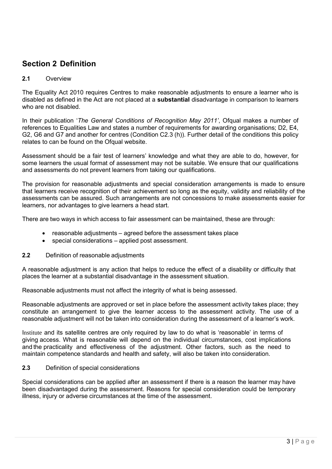## Section 2 Definition

#### 2.1 Overview

The Equality Act 2010 requires Centres to make reasonable adjustments to ensure a learner who is disabled as defined in the Act are not placed at a **substantial** disadvantage in comparison to learners who are not disabled.

In their publication 'The General Conditions of Recognition May 2011', Ofqual makes a number of references to Equalities Law and states a number of requirements for awarding organisations; D2, E4, G2, G6 and G7 and another for centres (Condition C2.3 (h)). Further detail of the conditions this policy relates to can be found on the Ofqual website.

Assessment should be a fair test of learners' knowledge and what they are able to do, however, for some learners the usual format of assessment may not be suitable. We ensure that our qualifications and assessments do not prevent learners from taking our qualifications.

The provision for reasonable adjustments and special consideration arrangements is made to ensure that learners receive recognition of their achievement so long as the equity, validity and reliability of the assessments can be assured. Such arrangements are not concessions to make assessments easier for learners, nor advantages to give learners a head start.

There are two ways in which access to fair assessment can be maintained, these are through:

- reasonable adjustments agreed before the assessment takes place
- special considerations applied post assessment.
- 2.2 Definition of reasonable adiustments

A reasonable adjustment is any action that helps to reduce the effect of a disability or difficulty that places the learner at a substantial disadvantage in the assessment situation.

Reasonable adjustments must not affect the integrity of what is being assessed.

Reasonable adjustments are approved or set in place before the assessment activity takes place; they constitute an arrangement to give the learner access to the assessment activity. The use of a reasonable adjustment will not be taken into consideration during the assessment of a learner's work.

Institute and its satellite centres are only required by law to do what is 'reasonable' in terms of giving access. What is reasonable will depend on the individual circumstances, cost implications and the practicality and effectiveness of the adjustment. Other factors, such as the need to maintain competence standards and health and safety, will also be taken into consideration.

#### 2.3 Definition of special considerations

Special considerations can be applied after an assessment if there is a reason the learner may have been disadvantaged during the assessment. Reasons for special consideration could be temporary illness, injury or adverse circumstances at the time of the assessment.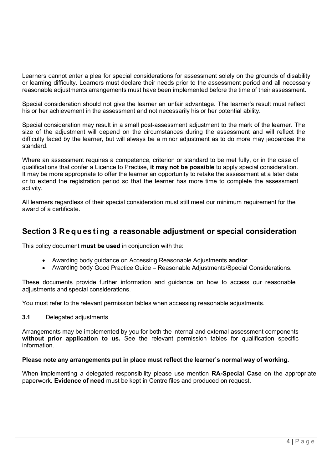Learners cannot enter a plea for special considerations for assessment solely on the grounds of disability or learning difficulty. Learners must declare their needs prior to the assessment period and all necessary reasonable adjustments arrangements must have been implemented before the time of their assessment.

Special consideration should not give the learner an unfair advantage. The learner's result must reflect his or her achievement in the assessment and not necessarily his or her potential ability.

Special consideration may result in a small post-assessment adjustment to the mark of the learner. The size of the adjustment will depend on the circumstances during the assessment and will reflect the difficulty faced by the learner, but will always be a minor adjustment as to do more may jeopardise the standard.

Where an assessment requires a competence, criterion or standard to be met fully, or in the case of qualifications that confer a Licence to Practise, it may not be possible to apply special consideration. It may be more appropriate to offer the learner an opportunity to retake the assessment at a later date or to extend the registration period so that the learner has more time to complete the assessment activity.

All learners regardless of their special consideration must still meet our minimum requirement for the award of a certificate.

## Section 3 Requesting a reasonable adjustment or special consideration

This policy document must be used in conjunction with the:

- Awarding body guidance on Accessing Reasonable Adjustments and/or
- Awarding body Good Practice Guide Reasonable Adjustments/Special Considerations.

These documents provide further information and guidance on how to access our reasonable adjustments and special considerations.

You must refer to the relevant permission tables when accessing reasonable adjustments.

#### 3.1 Delegated adjustments

Arrangements may be implemented by you for both the internal and external assessment components without prior application to us. See the relevant permission tables for qualification specific information.

#### Please note any arrangements put in place must reflect the learner's normal way of working.

When implementing a delegated responsibility please use mention **RA-Special Case** on the appropriate paperwork. Evidence of need must be kept in Centre files and produced on request.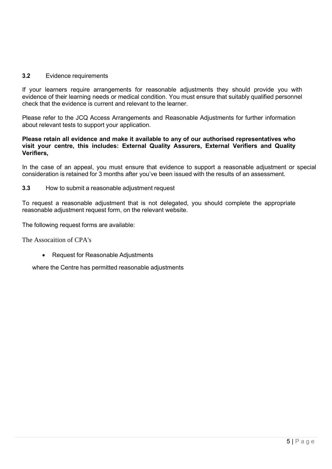#### 3.2 Evidence requirements

If your learners require arrangements for reasonable adjustments they should provide you with evidence of their learning needs or medical condition. You must ensure that suitably qualified personnel check that the evidence is current and relevant to the learner.

Please refer to the JCQ Access Arrangements and Reasonable Adjustments for further information about relevant tests to support your application.

#### Please retain all evidence and make it available to any of our authorised representatives who visit your centre, this includes: External Quality Assurers, External Verifiers and Quality Verifiers,

In the case of an appeal, you must ensure that evidence to support a reasonable adjustment or special consideration is retained for 3 months after you've been issued with the results of an assessment.

#### 3.3 How to submit a reasonable adjustment request

To request a reasonable adjustment that is not delegated, you should complete the appropriate reasonable adjustment request form, on the relevant website.

The following request forms are available:

The Assocaition of CPA's

• Request for Reasonable Adjustments

where the Centre has permitted reasonable adjustments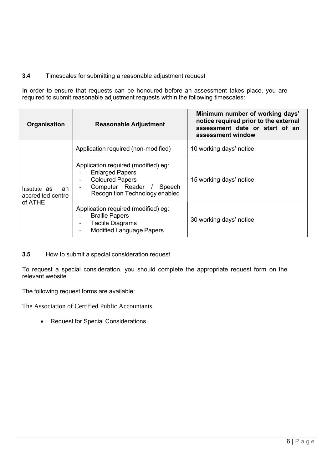#### 3.4 Timescales for submitting a reasonable adjustment request

In order to ensure that requests can be honoured before an assessment takes place, you are required to submit reasonable adjustment requests within the following timescales:

| Organisation                            | <b>Reasonable Adjustment</b>                                                                                                                           | Minimum number of working days'<br>notice required prior to the external<br>assessment date or start of an<br>assessment window |
|-----------------------------------------|--------------------------------------------------------------------------------------------------------------------------------------------------------|---------------------------------------------------------------------------------------------------------------------------------|
|                                         | Application required (non-modified)                                                                                                                    | 10 working days' notice                                                                                                         |
| Institute as<br>an<br>accredited centre | Application required (modified) eg:<br><b>Enlarged Papers</b><br><b>Coloured Papers</b><br>Computer Reader<br>Speech<br>Recognition Technology enabled | 15 working days' notice                                                                                                         |
| of ATHE                                 | Application required (modified) eg:<br><b>Braille Papers</b><br><b>Tactile Diagrams</b><br><b>Modified Language Papers</b>                             | 30 working days' notice                                                                                                         |

3.5 How to submit a special consideration request

To request a special consideration, you should complete the appropriate request form on the relevant website.

The following request forms are available:

The Association of Certified Public Accountants

• Request for Special Considerations